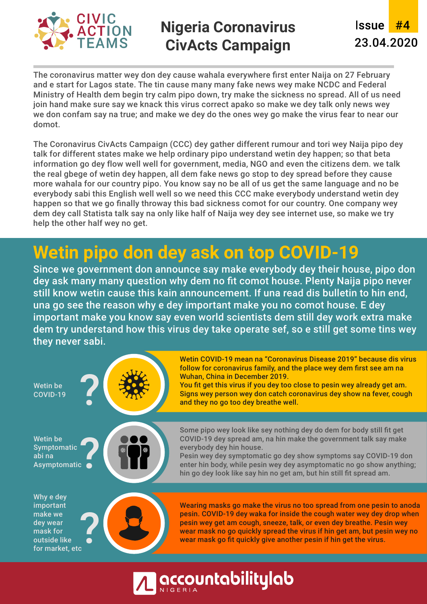

## **Nigeria Coronavirus CivActs Campaign**

**Issue** #4 23.04.2020

The coronavirus matter wey don dey cause wahala everywhere first enter Naija on 27 February and e start for Lagos state. The tin cause many many fake news wey make NCDC and Federal Ministry of Health dem begin try calm pipo down, try make the sickness no spread. All of us need join hand make sure say we knack this virus correct apako so make we dey talk only news wey we don confam say na true; and make we dey do the ones wey go make the virus fear to near our domot.

The Coronavirus CivActs Campaign (CCC) dey gather different rumour and tori wey Naija pipo dey talk for different states make we help ordinary pipo understand wetin dey happen; so that beta information go dey flow well well for government, media, NGO and even the citizens dem. we talk the real gbege of wetin dey happen, all dem fake news go stop to dey spread before they cause more wahala for our country pipo. You know say no be all of us get the same language and no be everybody sabi this English well well so we need this CCC make everybody understand wetin dey happen so that we go finally throway this bad sickness comot for our country. One company wey dem dey call Statista talk say na only like half of Naija wey dey see internet use, so make we try help the other half wey no get.

# **Wetin pipo don dey ask on top COVID-19**

Since we government don announce say make everybody dey their house, pipo don dey ask many many question why dem no fit comot house. Plenty Naija pipo never still know wetin cause this kain announcement. If una read dis bulletin to hin end, una go see the reason why e dey important make you no comot house. E dey important make you know say even world scientists dem still dey work extra make dem try understand how this virus dey take operate sef, so e still get some tins wey they never sabi.

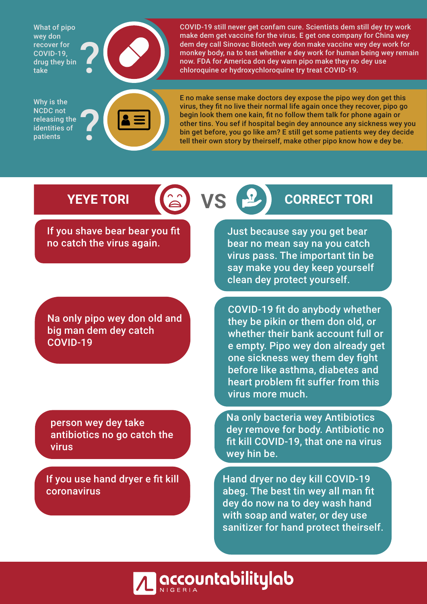What of pipo wey don recover for COVID-19, drug they bin take



Why is the NCDC not releasing the identities of patients



COVID-19 still never get confam cure. Scientists dem still dey try work make dem get vaccine for the virus. E get one company for China wey dem dey call Sinovac Biotech wey don make vaccine wey dey work for monkey body, na to test whether e dey work for human being wey remain now. FDA for America don dey warn pipo make they no dey use chloroquine or hydroxychloroquine try treat COVID-19.

E no make sense make doctors dey expose the pipo wey don get this virus, they fit no live their normal life again once they recover, pipo go begin look them one kain, fit no follow them talk for phone again or other tins. You sef if hospital begin dey announce any sickness wey you bin get before, you go like am? E still get some patients wey dey decide tell their own story by theirself, make other pipo know how e dey be.

If you shave bear bear you fit no catch the virus again.

Na only pipo wey don old and big man dem dey catch COVID-19

person wey dey take antibiotics no go catch the virus

If you use hand dryer e fit kill coronavirus

# **YEYE TORI (2) VS P CORRECT TORI**

Just because say you get bear bear no mean say na you catch virus pass. The important tin be say make you dey keep yourself clean dey protect yourself.

COVID-19 fit do anybody whether they be pikin or them don old, or whether their bank account full or e empty. Pipo wey don already get one sickness wey them dey fight before like asthma, diabetes and heart problem fit suffer from this virus more much.

Na only bacteria wey Antibiotics dey remove for body. Antibiotic no fit kill COVID-19, that one na virus wey hin be.

Hand dryer no dey kill COVID-19 abeg. The best tin wey all man fit dey do now na to dey wash hand with soap and water, or dey use sanitizer for hand protect theirself.

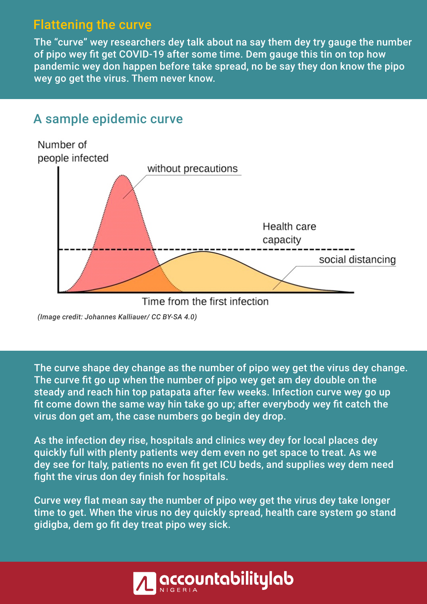### Flattening the curve

The "curve" wey researchers dey talk about na say them dey try gauge the number of pipo wey fit get COVID-19 after some time. Dem gauge this tin on top how pandemic wey don happen before take spread, no be say they don know the pipo wey go get the virus. Them never know.

#### A sample epidemic curve



*(Image credit: Johannes Kalliauer/ CC BY-SA 4.0)*

The curve shape dey change as the number of pipo wey get the virus dey change. The curve fit go up when the number of pipo wey get am dey double on the steady and reach hin top patapata after few weeks. Infection curve wey go up fit come down the same way hin take go up; after everybody wey fit catch the virus don get am, the case numbers go begin dey drop.

As the infection dey rise, hospitals and clinics wey dey for local places dey quickly full with plenty patients wey dem even no get space to treat. As we dey see for Italy, patients no even fit get ICU beds, and supplies wey dem need fight the virus don dey finish for hospitals.

Curve wey flat mean say the number of pipo wey get the virus dey take longer time to get. When the virus no dey quickly spread, health care system go stand gidigba, dem go fit dey treat pipo wey sick.